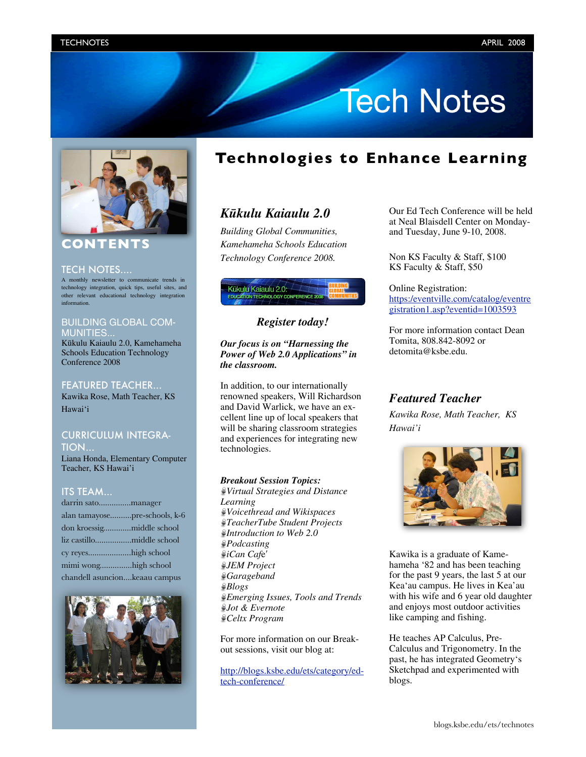# **Tech Notes**



# **CONTENTS**

#### TECH NOTES....

A monthly newsletter to communicate trends in technology integration, quick tips, useful sites, and other relevant educational technology integration information.

### BUILDING GLOBAL COM-MUNITIES...

Kükulu Kaiaulu 2.0, Kamehameha Schools Education Technology Conference 2008

#### FEATURED TEACHER...

Kawika Rose, Math Teacher, KS Hawai'i

# CURRICULUM INTEGRA-

TION...

Liana Honda, Elementary Computer Teacher, KS Hawai'i

## ITS TEAM...

| darrin satomanager            |                               |
|-------------------------------|-------------------------------|
|                               | alan tamayosepre-schools, k-6 |
|                               |                               |
|                               | liz castillomiddle school     |
| cy reyeshigh school           |                               |
| mimi wonghigh school          |                               |
| chandell asuncionkeaau campus |                               |



# **Technologies to Enhance Learning**

# *Kükulu Kaiaulu 2.0*

*Building Global Communities, Kamehameha Schools Education Technology Conference 2008.*



# *Register today!*

#### *Our focus is on "Harnessing the Power of Web 2.0 Applications" in the classroom.*

In addition, to our internationally renowned speakers, Will Richardson and David Warlick, we have an excellent line up of local speakers that will be sharing classroom strategies and experiences for integrating new technologies.

#### *Breakout Session Topics:*

*Virtual Strategies and Distance Learning Voicethread and Wikispaces TeacherTube Student Projects Introduction to Web 2.0 Podcasting iCan Caf*e′ *JEM Project Garageband Blogs Emerging Issues, Tools and Trends Jot & Evernote Celtx Program*

For more information on our Breakout sessions, visit our blog at:

[http://blogs.ksbe.edu/ets/category/ed](http://blogs.ksbe.edu/ets/category/ed-tech-conference/)tech-[conference/](http://blogs.ksbe.edu/ets/category/ed-tech-conference/)

Our Ed Tech Conference will be held at Neal Blaisdell Center on Mondayand Tuesday, June 9-10, 2008.

Non KS Faculty & Staff, \$100 KS Faculty & Staff, \$50

Online Registration: [https:/eventville.com/catalog/eventre](https:/eventville.com/catalog/eventregistration1asp?eventid=1003593) [gistration1.asp?eventid=1003593](https:/eventville.com/catalog/eventregistration1asp?eventid=1003593)

For more information contact Dean Tomita, 808.842-8092 or detomita@ksbe.edu.

# *Featured Teacher*

*Kawika Rose, Math Teacher, KS Hawai'i*



Kawika is a graduate of Kamehameha '82 and has been teaching for the past 9 years, the last 5 at our Keaÿau campus. He lives in Kea'au with his wife and 6 year old daughter and enjoys most outdoor activities like camping and fishing.

He teaches AP Calculus, Pre-Calculus and Trigonometry. In the past, he has integrated Geometry's Sketchpad and experimented with blogs.